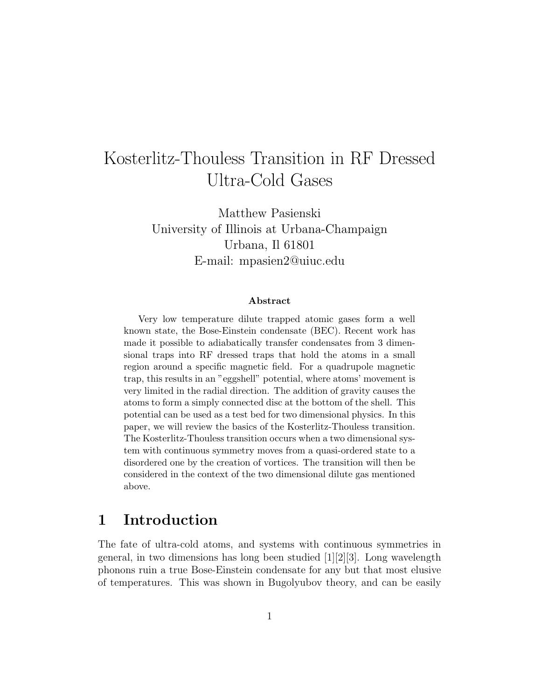# Kosterlitz-Thouless Transition in RF Dressed Ultra-Cold Gases

Matthew Pasienski University of Illinois at Urbana-Champaign Urbana, Il 61801 E-mail: mpasien2@uiuc.edu

#### Abstract

Very low temperature dilute trapped atomic gases form a well known state, the Bose-Einstein condensate (BEC). Recent work has made it possible to adiabatically transfer condensates from 3 dimensional traps into RF dressed traps that hold the atoms in a small region around a specific magnetic field. For a quadrupole magnetic trap, this results in an "eggshell" potential, where atoms' movement is very limited in the radial direction. The addition of gravity causes the atoms to form a simply connected disc at the bottom of the shell. This potential can be used as a test bed for two dimensional physics. In this paper, we will review the basics of the Kosterlitz-Thouless transition. The Kosterlitz-Thouless transition occurs when a two dimensional system with continuous symmetry moves from a quasi-ordered state to a disordered one by the creation of vortices. The transition will then be considered in the context of the two dimensional dilute gas mentioned above.

### 1 Introduction

The fate of ultra-cold atoms, and systems with continuous symmetries in general, in two dimensions has long been studied  $[1][2][3]$ . Long wavelength phonons ruin a true Bose-Einstein condensate for any but that most elusive of temperatures. This was shown in Bugolyubov theory, and can be easily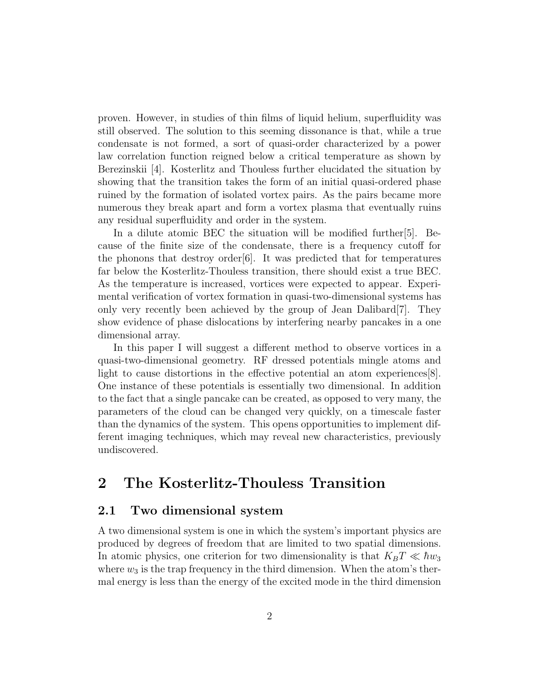proven. However, in studies of thin films of liquid helium, superfluidity was still observed. The solution to this seeming dissonance is that, while a true condensate is not formed, a sort of quasi-order characterized by a power law correlation function reigned below a critical temperature as shown by Berezinskii [4]. Kosterlitz and Thouless further elucidated the situation by showing that the transition takes the form of an initial quasi-ordered phase ruined by the formation of isolated vortex pairs. As the pairs became more numerous they break apart and form a vortex plasma that eventually ruins any residual superfluidity and order in the system.

In a dilute atomic BEC the situation will be modified further[5]. Because of the finite size of the condensate, there is a frequency cutoff for the phonons that destroy order  $[6]$ . It was predicted that for temperatures far below the Kosterlitz-Thouless transition, there should exist a true BEC. As the temperature is increased, vortices were expected to appear. Experimental verification of vortex formation in quasi-two-dimensional systems has only very recently been achieved by the group of Jean Dalibard[7]. They show evidence of phase dislocations by interfering nearby pancakes in a one dimensional array.

In this paper I will suggest a different method to observe vortices in a quasi-two-dimensional geometry. RF dressed potentials mingle atoms and light to cause distortions in the effective potential an atom experiences[8]. One instance of these potentials is essentially two dimensional. In addition to the fact that a single pancake can be created, as opposed to very many, the parameters of the cloud can be changed very quickly, on a timescale faster than the dynamics of the system. This opens opportunities to implement different imaging techniques, which may reveal new characteristics, previously undiscovered.

### 2 The Kosterlitz-Thouless Transition

### 2.1 Two dimensional system

A two dimensional system is one in which the system's important physics are produced by degrees of freedom that are limited to two spatial dimensions. In atomic physics, one criterion for two dimensionality is that  $K_B T \ll \hbar w_3$ where  $w_3$  is the trap frequency in the third dimension. When the atom's thermal energy is less than the energy of the excited mode in the third dimension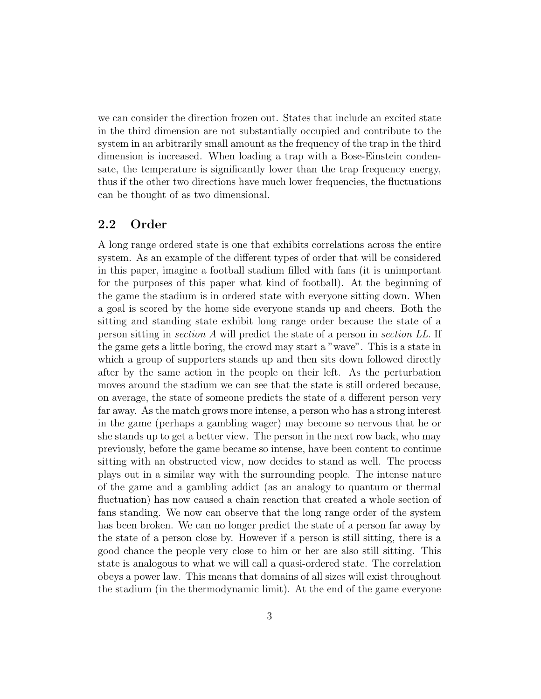we can consider the direction frozen out. States that include an excited state in the third dimension are not substantially occupied and contribute to the system in an arbitrarily small amount as the frequency of the trap in the third dimension is increased. When loading a trap with a Bose-Einstein condensate, the temperature is significantly lower than the trap frequency energy, thus if the other two directions have much lower frequencies, the fluctuations can be thought of as two dimensional.

### 2.2 Order

A long range ordered state is one that exhibits correlations across the entire system. As an example of the different types of order that will be considered in this paper, imagine a football stadium filled with fans (it is unimportant for the purposes of this paper what kind of football). At the beginning of the game the stadium is in ordered state with everyone sitting down. When a goal is scored by the home side everyone stands up and cheers. Both the sitting and standing state exhibit long range order because the state of a person sitting in section A will predict the state of a person in section LL. If the game gets a little boring, the crowd may start a "wave". This is a state in which a group of supporters stands up and then sits down followed directly after by the same action in the people on their left. As the perturbation moves around the stadium we can see that the state is still ordered because, on average, the state of someone predicts the state of a different person very far away. As the match grows more intense, a person who has a strong interest in the game (perhaps a gambling wager) may become so nervous that he or she stands up to get a better view. The person in the next row back, who may previously, before the game became so intense, have been content to continue sitting with an obstructed view, now decides to stand as well. The process plays out in a similar way with the surrounding people. The intense nature of the game and a gambling addict (as an analogy to quantum or thermal fluctuation) has now caused a chain reaction that created a whole section of fans standing. We now can observe that the long range order of the system has been broken. We can no longer predict the state of a person far away by the state of a person close by. However if a person is still sitting, there is a good chance the people very close to him or her are also still sitting. This state is analogous to what we will call a quasi-ordered state. The correlation obeys a power law. This means that domains of all sizes will exist throughout the stadium (in the thermodynamic limit). At the end of the game everyone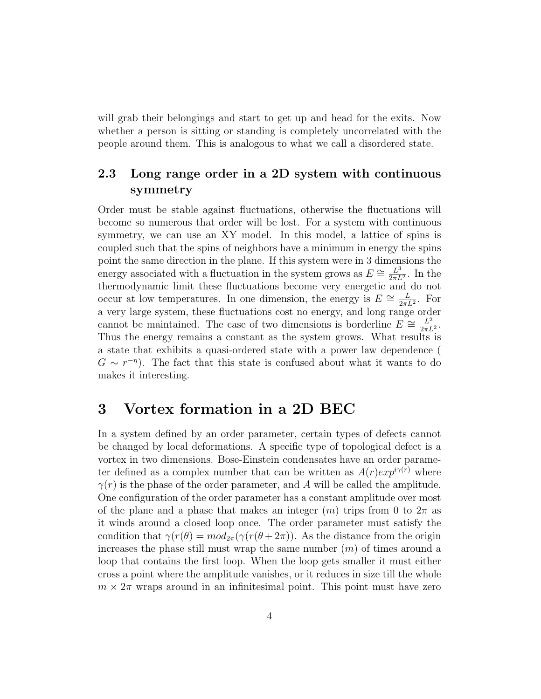will grab their belongings and start to get up and head for the exits. Now whether a person is sitting or standing is completely uncorrelated with the people around them. This is analogous to what we call a disordered state.

### 2.3 Long range order in a 2D system with continuous symmetry

Order must be stable against fluctuations, otherwise the fluctuations will become so numerous that order will be lost. For a system with continuous symmetry, we can use an XY model. In this model, a lattice of spins is coupled such that the spins of neighbors have a minimum in energy the spins point the same direction in the plane. If this system were in 3 dimensions the energy associated with a fluctuation in the system grows as  $E \cong \frac{L^3}{2\pi I}$  $\frac{L^3}{2\pi L^2}$ . In the thermodynamic limit these fluctuations become very energetic and do not occur at low temperatures. In one dimension, the energy is  $E \cong \frac{L}{2\pi i}$  $\frac{L}{2\pi L^2}$ . For a very large system, these fluctuations cost no energy, and long range order cannot be maintained. The case of two dimensions is borderline  $E \cong \frac{L^2}{2\pi I}$  $\frac{L^2}{2\pi L^2}$ . Thus the energy remains a constant as the system grows. What results is a state that exhibits a quasi-ordered state with a power law dependence (  $G \sim r^{-\eta}$ ). The fact that this state is confused about what it wants to do makes it interesting.

### 3 Vortex formation in a 2D BEC

In a system defined by an order parameter, certain types of defects cannot be changed by local deformations. A specific type of topological defect is a vortex in two dimensions. Bose-Einstein condensates have an order parameter defined as a complex number that can be written as  $A(r)exp^{i\gamma(r)}$  where  $\gamma(r)$  is the phase of the order parameter, and A will be called the amplitude. One configuration of the order parameter has a constant amplitude over most of the plane and a phase that makes an integer  $(m)$  trips from 0 to  $2\pi$  as it winds around a closed loop once. The order parameter must satisfy the condition that  $\gamma(r(\theta)) = mod_{2\pi}(\gamma(r(\theta + 2\pi))$ . As the distance from the origin increases the phase still must wrap the same number  $(m)$  of times around a loop that contains the first loop. When the loop gets smaller it must either cross a point where the amplitude vanishes, or it reduces in size till the whole  $m \times 2\pi$  wraps around in an infinitesimal point. This point must have zero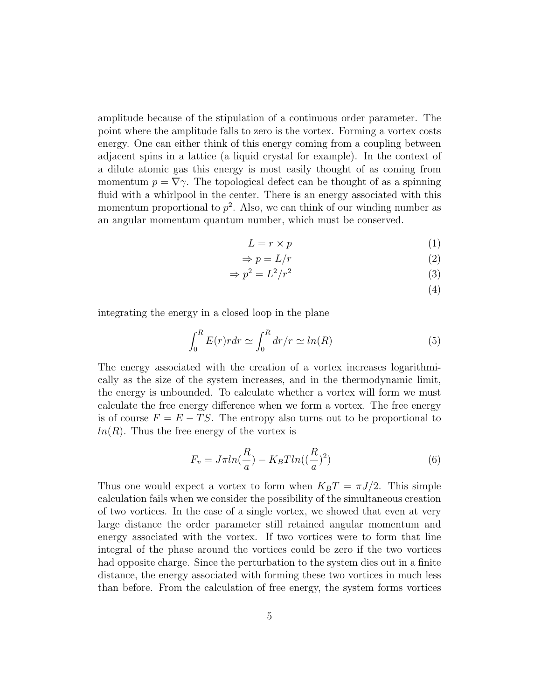amplitude because of the stipulation of a continuous order parameter. The point where the amplitude falls to zero is the vortex. Forming a vortex costs energy. One can either think of this energy coming from a coupling between adjacent spins in a lattice (a liquid crystal for example). In the context of a dilute atomic gas this energy is most easily thought of as coming from momentum  $p = \nabla \gamma$ . The topological defect can be thought of as a spinning fluid with a whirlpool in the center. There is an energy associated with this momentum proportional to  $p^2$ . Also, we can think of our winding number as an angular momentum quantum number, which must be conserved.

$$
L = r \times p \tag{1}
$$

$$
\Rightarrow p = L/r \tag{2}
$$

$$
\Rightarrow p^2 = L^2/r^2 \tag{3}
$$

(4)

integrating the energy in a closed loop in the plane

$$
\int_0^R E(r)r dr \simeq \int_0^R dr/r \simeq \ln(R) \tag{5}
$$

The energy associated with the creation of a vortex increases logarithmically as the size of the system increases, and in the thermodynamic limit, the energy is unbounded. To calculate whether a vortex will form we must calculate the free energy difference when we form a vortex. The free energy is of course  $F = E - TS$ . The entropy also turns out to be proportional to  $ln(R)$ . Thus the free energy of the vortex is

$$
F_v = J\pi ln(\frac{R}{a}) - K_B T ln((\frac{R}{a})^2)
$$
\n<sup>(6)</sup>

Thus one would expect a vortex to form when  $K_B T = \pi J/2$ . This simple calculation fails when we consider the possibility of the simultaneous creation of two vortices. In the case of a single vortex, we showed that even at very large distance the order parameter still retained angular momentum and energy associated with the vortex. If two vortices were to form that line integral of the phase around the vortices could be zero if the two vortices had opposite charge. Since the perturbation to the system dies out in a finite distance, the energy associated with forming these two vortices in much less than before. From the calculation of free energy, the system forms vortices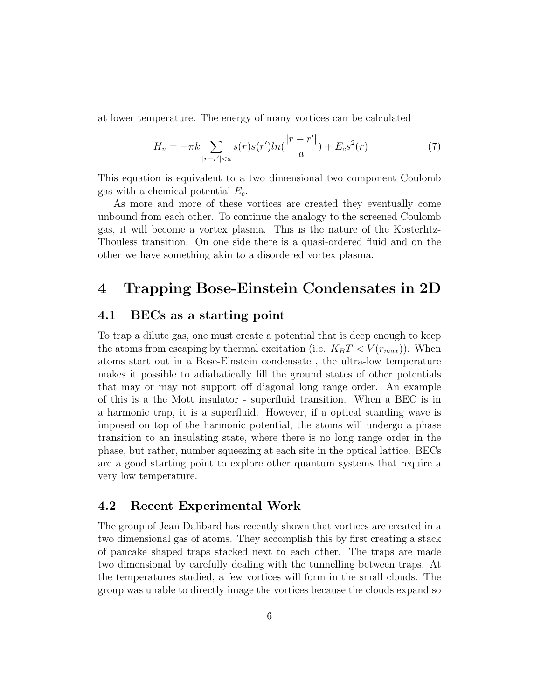at lower temperature. The energy of many vortices can be calculated

$$
H_v = -\pi k \sum_{|r - r'| < a} s(r) s(r') ln(\frac{|r - r'|}{a}) + E_c s^2(r)
$$
 (7)

This equation is equivalent to a two dimensional two component Coulomb gas with a chemical potential  $E_c$ .

As more and more of these vortices are created they eventually come unbound from each other. To continue the analogy to the screened Coulomb gas, it will become a vortex plasma. This is the nature of the Kosterlitz-Thouless transition. On one side there is a quasi-ordered fluid and on the other we have something akin to a disordered vortex plasma.

# 4 Trapping Bose-Einstein Condensates in 2D

### 4.1 BECs as a starting point

To trap a dilute gas, one must create a potential that is deep enough to keep the atoms from escaping by thermal excitation (i.e.  $K_B T \langle V(r_{max})\rangle$ ). When atoms start out in a Bose-Einstein condensate , the ultra-low temperature makes it possible to adiabatically fill the ground states of other potentials that may or may not support off diagonal long range order. An example of this is a the Mott insulator - superfluid transition. When a BEC is in a harmonic trap, it is a superfluid. However, if a optical standing wave is imposed on top of the harmonic potential, the atoms will undergo a phase transition to an insulating state, where there is no long range order in the phase, but rather, number squeezing at each site in the optical lattice. BECs are a good starting point to explore other quantum systems that require a very low temperature.

### 4.2 Recent Experimental Work

The group of Jean Dalibard has recently shown that vortices are created in a two dimensional gas of atoms. They accomplish this by first creating a stack of pancake shaped traps stacked next to each other. The traps are made two dimensional by carefully dealing with the tunnelling between traps. At the temperatures studied, a few vortices will form in the small clouds. The group was unable to directly image the vortices because the clouds expand so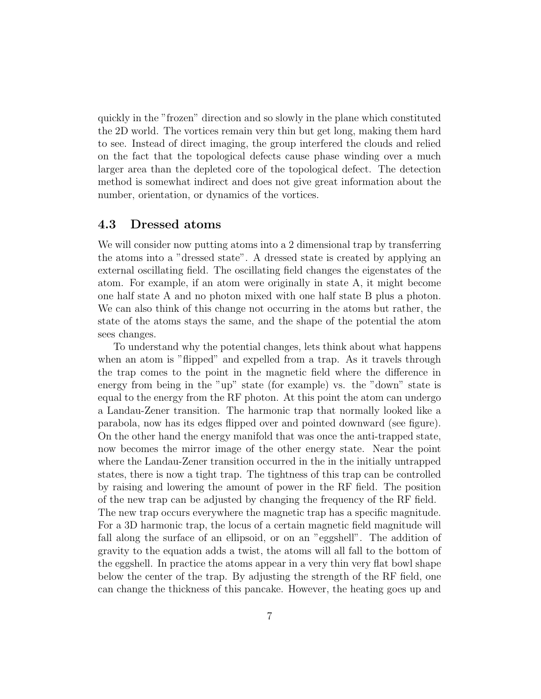quickly in the "frozen" direction and so slowly in the plane which constituted the 2D world. The vortices remain very thin but get long, making them hard to see. Instead of direct imaging, the group interfered the clouds and relied on the fact that the topological defects cause phase winding over a much larger area than the depleted core of the topological defect. The detection method is somewhat indirect and does not give great information about the number, orientation, or dynamics of the vortices.

### 4.3 Dressed atoms

We will consider now putting atoms into a 2 dimensional trap by transferring the atoms into a "dressed state". A dressed state is created by applying an external oscillating field. The oscillating field changes the eigenstates of the atom. For example, if an atom were originally in state A, it might become one half state A and no photon mixed with one half state B plus a photon. We can also think of this change not occurring in the atoms but rather, the state of the atoms stays the same, and the shape of the potential the atom sees changes.

To understand why the potential changes, lets think about what happens when an atom is "flipped" and expelled from a trap. As it travels through the trap comes to the point in the magnetic field where the difference in energy from being in the "up" state (for example) vs. the "down" state is equal to the energy from the RF photon. At this point the atom can undergo a Landau-Zener transition. The harmonic trap that normally looked like a parabola, now has its edges flipped over and pointed downward (see figure). On the other hand the energy manifold that was once the anti-trapped state, now becomes the mirror image of the other energy state. Near the point where the Landau-Zener transition occurred in the in the initially untrapped states, there is now a tight trap. The tightness of this trap can be controlled by raising and lowering the amount of power in the RF field. The position of the new trap can be adjusted by changing the frequency of the RF field. The new trap occurs everywhere the magnetic trap has a specific magnitude. For a 3D harmonic trap, the locus of a certain magnetic field magnitude will fall along the surface of an ellipsoid, or on an "eggshell". The addition of gravity to the equation adds a twist, the atoms will all fall to the bottom of the eggshell. In practice the atoms appear in a very thin very flat bowl shape below the center of the trap. By adjusting the strength of the RF field, one can change the thickness of this pancake. However, the heating goes up and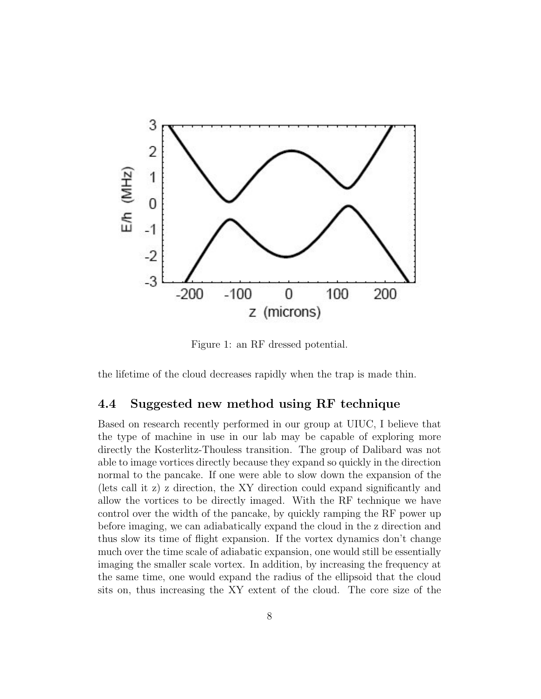

Figure 1: an RF dressed potential.

the lifetime of the cloud decreases rapidly when the trap is made thin.

#### 4.4 Suggested new method using RF technique

Based on research recently performed in our group at UIUC, I believe that the type of machine in use in our lab may be capable of exploring more directly the Kosterlitz-Thouless transition. The group of Dalibard was not able to image vortices directly because they expand so quickly in the direction normal to the pancake. If one were able to slow down the expansion of the (lets call it z) z direction, the XY direction could expand significantly and allow the vortices to be directly imaged. With the RF technique we have control over the width of the pancake, by quickly ramping the RF power up before imaging, we can adiabatically expand the cloud in the z direction and thus slow its time of flight expansion. If the vortex dynamics don't change much over the time scale of adiabatic expansion, one would still be essentially imaging the smaller scale vortex. In addition, by increasing the frequency at the same time, one would expand the radius of the ellipsoid that the cloud sits on, thus increasing the XY extent of the cloud. The core size of the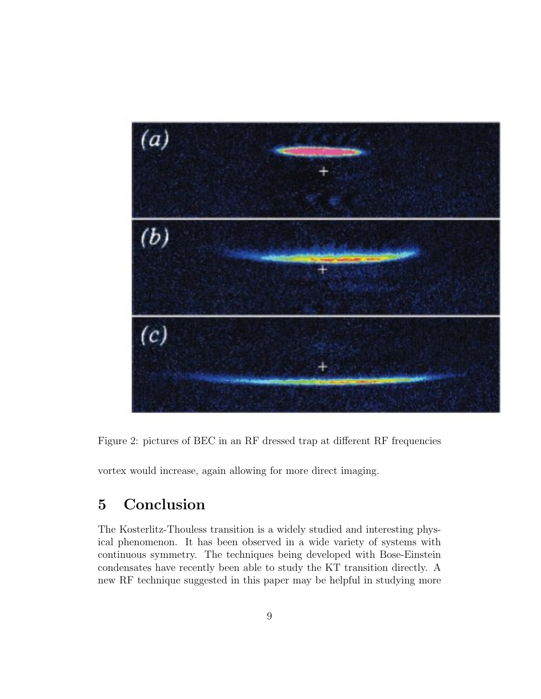

Figure 2: pictures of BEC in an RF dressed trap at different RF frequencies

vortex would increase, again allowing for more direct imaging.

# 5 Conclusion

The Kosterlitz-Thouless transition is a widely studied and interesting physical phenomenon. It has been observed in a wide variety of systems with continuous symmetry. The techniques being developed with Bose-Einstein condensates have recently been able to study the KT transition directly. A new RF technique suggested in this paper may be helpful in studying more